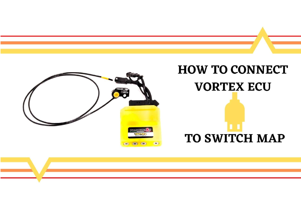# **HOW TO CONNECT VORTEX ECU**

## **TO SWITCH MAP**

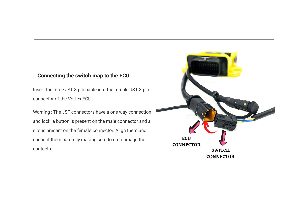#### **– Connecting the switch map to the ECU**

Insert the male JST 8-pin cable into the female JST 8-pin connector of the Vortex ECU.

Warning : The JST connectors have a one way connection and lock, a button is present on the male connector and a slot is present on the female connector. Align them and connect them carefully making sure to not damage the contacts.

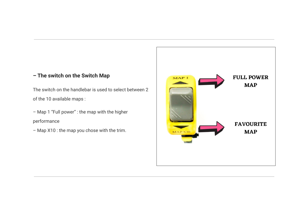### **– The switch on the Switch Map**

The switch on the handlebar is used to select between 2 of the 10 available maps :

– Map 1 "Full power" : the map with the higher performance

– Map X10 : the map you chose with the trim.

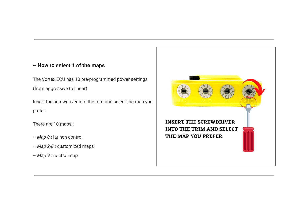#### **– How to select 1 of the maps**

The Vortex ECU has 10 pre-programmed power settings (from aggressive to linear).

Insert the screwdriver into the trim and select the map you prefer.

There are 10 maps :

- *– Map 0* : launch control
- *Map 2-8* : customized maps
- *Map 9* : neutral map